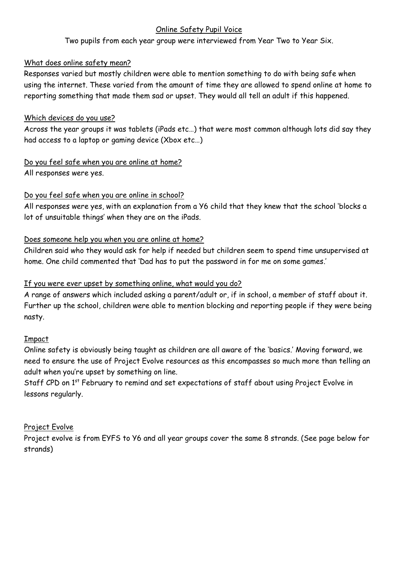#### Online Safety Pupil Voice

Two pupils from each year group were interviewed from Year Two to Year Six.

#### What does online safety mean?

Responses varied but mostly children were able to mention something to do with being safe when using the internet. These varied from the amount of time they are allowed to spend online at home to reporting something that made them sad or upset. They would all tell an adult if this happened.

#### Which devices do you use?

Across the year groups it was tablets (iPads etc…) that were most common although lots did say they had access to a laptop or gaming device (Xbox etc…)

# Do you feel safe when you are online at home?

All responses were yes.

## Do you feel safe when you are online in school?

All responses were yes, with an explanation from a Y6 child that they knew that the school 'blocks a lot of unsuitable things' when they are on the iPads.

#### Does someone help you when you are online at home?

Children said who they would ask for help if needed but children seem to spend time unsupervised at home. One child commented that 'Dad has to put the password in for me on some games.'

## If you were ever upset by something online, what would you do?

A range of answers which included asking a parent/adult or, if in school, a member of staff about it. Further up the school, children were able to mention blocking and reporting people if they were being nasty.

#### Impact

Online safety is obviously being taught as children are all aware of the 'basics.' Moving forward, we need to ensure the use of Project Evolve resources as this encompasses so much more than telling an adult when you're upset by something on line.

Staff CPD on 1<sup>st</sup> February to remind and set expectations of staff about using Project Evolve in lessons regularly.

#### Project Evolve

Project evolve is from EYFS to Y6 and all year groups cover the same 8 strands. (See page below for strands)